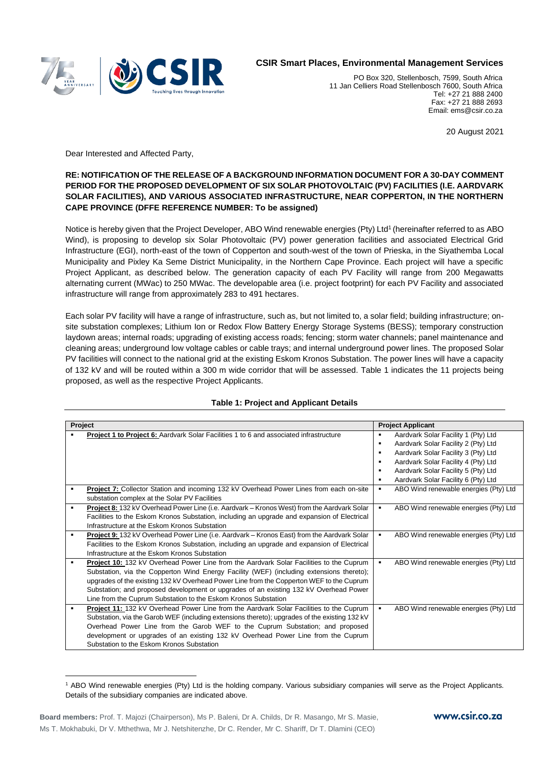

## **CSIR Smart Places, Environmental Management Services**

PO Box 320, Stellenbosch, 7599, South Africa 11 Jan Celliers Road Stellenbosch 7600, South Africa Tel: +27 21 888 2400 Fax: +27 21 888 2693 Email: ems@csir.co.za

20 August 2021

Dear Interested and Affected Party,

## **RE: NOTIFICATION OF THE RELEASE OF A BACKGROUND INFORMATION DOCUMENT FOR A 30-DAY COMMENT PERIOD FOR THE PROPOSED DEVELOPMENT OF SIX SOLAR PHOTOVOLTAIC (PV) FACILITIES (I.E. AARDVARK SOLAR FACILITIES), AND VARIOUS ASSOCIATED INFRASTRUCTURE, NEAR COPPERTON, IN THE NORTHERN CAPE PROVINCE (DFFE REFERENCE NUMBER: To be assigned)**

Notice is hereby given that the Project Developer, ABO Wind renewable energies (Pty) Ltd<sup>1</sup> (hereinafter referred to as ABO Wind), is proposing to develop six Solar Photovoltaic (PV) power generation facilities and associated Electrical Grid Infrastructure (EGI), north-east of the town of Copperton and south-west of the town of Prieska, in the Siyathemba Local Municipality and Pixley Ka Seme District Municipality, in the Northern Cape Province. Each project will have a specific Project Applicant, as described below. The generation capacity of each PV Facility will range from 200 Megawatts alternating current (MWac) to 250 MWac. The developable area (i.e. project footprint) for each PV Facility and associated infrastructure will range from approximately 283 to 491 hectares.

Each solar PV facility will have a range of infrastructure, such as, but not limited to, a solar field; building infrastructure; onsite substation complexes; Lithium Ion or Redox Flow Battery Energy Storage Systems (BESS); temporary construction laydown areas; internal roads; upgrading of existing access roads; fencing; storm water channels; panel maintenance and cleaning areas; underground low voltage cables or cable trays; and internal underground power lines. The proposed Solar PV facilities will connect to the national grid at the existing Eskom Kronos Substation. The power lines will have a capacity of 132 kV and will be routed within a 300 m wide corridor that will be assessed. Table 1 indicates the 11 projects being proposed, as well as the respective Project Applicants.

| Project        |                                                                                                |                | <b>Project Applicant</b>              |  |
|----------------|------------------------------------------------------------------------------------------------|----------------|---------------------------------------|--|
| ٠              | Project 1 to Project 6: Aardvark Solar Facilities 1 to 6 and associated infrastructure         | ٠              | Aardvark Solar Facility 1 (Pty) Ltd   |  |
|                |                                                                                                |                | Aardvark Solar Facility 2 (Pty) Ltd   |  |
|                |                                                                                                | ٠              | Aardvark Solar Facility 3 (Pty) Ltd   |  |
|                |                                                                                                |                | Aardvark Solar Facility 4 (Pty) Ltd   |  |
|                |                                                                                                | ٠              | Aardvark Solar Facility 5 (Pty) Ltd   |  |
|                |                                                                                                | ٠              | Aardvark Solar Facility 6 (Pty) Ltd   |  |
| ٠              | Project 7: Collector Station and incoming 132 kV Overhead Power Lines from each on-site        | ٠              | ABO Wind renewable energies (Pty) Ltd |  |
|                | substation complex at the Solar PV Facilities                                                  |                |                                       |  |
| $\blacksquare$ | Project 8: 132 kV Overhead Power Line (i.e. Aardvark - Kronos West) from the Aardvark Solar    | $\blacksquare$ | ABO Wind renewable energies (Pty) Ltd |  |
|                | Facilities to the Eskom Kronos Substation, including an upgrade and expansion of Electrical    |                |                                       |  |
|                | Infrastructure at the Eskom Kronos Substation                                                  |                |                                       |  |
| ٠              | Project 9: 132 kV Overhead Power Line (i.e. Aardvark - Kronos East) from the Aardvark Solar    | $\blacksquare$ | ABO Wind renewable energies (Pty) Ltd |  |
|                | Facilities to the Eskom Kronos Substation, including an upgrade and expansion of Electrical    |                |                                       |  |
|                | Infrastructure at the Eskom Kronos Substation                                                  |                |                                       |  |
| ٠              | <b>Project 10:</b> 132 kV Overhead Power Line from the Aardvark Solar Facilities to the Cuprum | ٠              | ABO Wind renewable energies (Pty) Ltd |  |
|                | Substation, via the Copperton Wind Energy Facility (WEF) (including extensions thereto);       |                |                                       |  |
|                | upgrades of the existing 132 kV Overhead Power Line from the Copperton WEF to the Cuprum       |                |                                       |  |
|                | Substation; and proposed development or upgrades of an existing 132 kV Overhead Power          |                |                                       |  |
|                | Line from the Cuprum Substation to the Eskom Kronos Substation                                 |                |                                       |  |
| ٠              | Project 11: 132 kV Overhead Power Line from the Aardvark Solar Facilities to the Cuprum        | ٠              | ABO Wind renewable energies (Pty) Ltd |  |
|                | Substation, via the Garob WEF (including extensions thereto); upgrades of the existing 132 kV  |                |                                       |  |
|                | Overhead Power Line from the Garob WEF to the Cuprum Substation; and proposed                  |                |                                       |  |
|                | development or upgrades of an existing 132 kV Overhead Power Line from the Cuprum              |                |                                       |  |
|                | Substation to the Eskom Kronos Substation                                                      |                |                                       |  |

## **Table 1: Project and Applicant Details**

<sup>1</sup> ABO Wind renewable energies (Pty) Ltd is the holding company. Various subsidiary companies will serve as the Project Applicants. Details of the subsidiary companies are indicated above.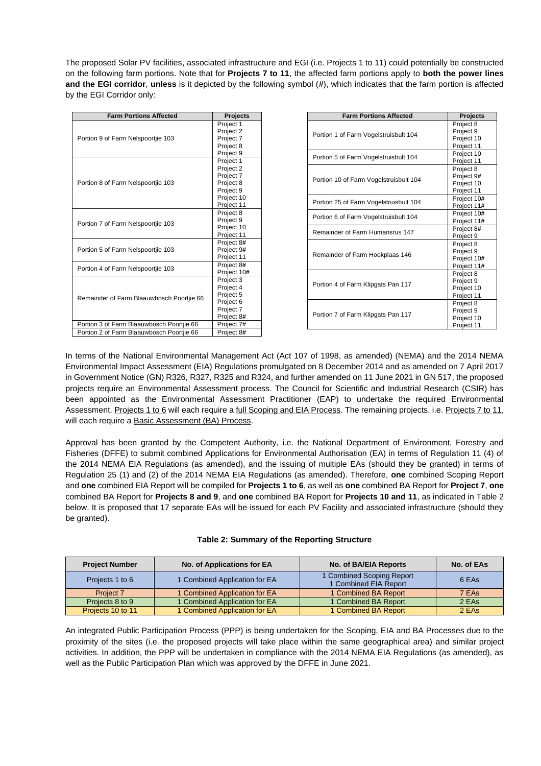The proposed Solar PV facilities, associated infrastructure and EGI (i.e. Projects 1 to 11) could potentially be constructed on the following farm portions. Note that for **Projects 7 to 11**, the affected farm portions apply to **both the power lines and the EGI corridor**, **unless** is it depicted by the following symbol (**#**), which indicates that the farm portion is affected by the EGI Corridor only:

| <b>Farm Portions Affected</b>             | <b>Projects</b> |
|-------------------------------------------|-----------------|
|                                           | Project 1       |
| Portion 9 of Farm Nelspoortije 103        | Project 2       |
|                                           | Project 7       |
|                                           | Project 8       |
|                                           | Project 9       |
|                                           | Project 1       |
|                                           | Project 2       |
|                                           | Project 7       |
| Portion 8 of Farm Nelspoortije 103        | Project 8       |
|                                           | Project 9       |
|                                           | Project 10      |
|                                           | Project 11      |
|                                           | Project 8       |
| Portion 7 of Farm Nelspoortije 103        | Project 9       |
|                                           | Project 10      |
|                                           | Project 11      |
|                                           | Project 8#      |
| Portion 5 of Farm Nelspoortije 103        | Project 9#      |
|                                           | Project 11      |
| Portion 4 of Farm Nelspoortije 103        | Project 8#      |
|                                           | Project 10#     |
|                                           | Project 3       |
|                                           | Project 4       |
| Remainder of Farm Blaauwbosch Poortjie 66 | Project 5       |
|                                           | Project 6       |
|                                           | Project 7       |
|                                           | Project 8#      |
| Portion 3 of Farm Blaauwbosch Poortjie 66 | Project 7#      |
| Portion 2 of Farm Blaauwbosch Poortjie 66 | Project 8#      |

| <b>Farm Portions Affected</b>          | <b>Projects</b> |
|----------------------------------------|-----------------|
|                                        | Project 8       |
| Portion 1 of Farm Vogelstruisbult 104  | Project 9       |
|                                        | Project 10      |
|                                        | Project 11      |
| Portion 5 of Farm Vogelstruisbult 104  | Project 10      |
|                                        | Project 11      |
| Portion 10 of Farm Vogelstruisbult 104 | Project 8       |
|                                        | Project 9#      |
|                                        | Project 10      |
|                                        | Project 11      |
| Portion 25 of Farm Vogelstruisbult 104 | Project 10#     |
|                                        | Project 11#     |
|                                        | Project 10#     |
| Portion 6 of Farm Vogelstruisbult 104  | Project 11#     |
| Remainder of Farm Humansrus 147        | Project 8#      |
|                                        | Project 9       |
|                                        | Project 8       |
|                                        | Project 9       |
| Remainder of Farm Hoekplaas 146        | Project 10#     |
|                                        | Project 11#     |
|                                        | Project 8       |
|                                        | Project 9       |
| Portion 4 of Farm Klipgats Pan 117     | Project 10      |
|                                        | Project 11      |
|                                        | Project 8       |
| Portion 7 of Farm Klipgats Pan 117     | Project 9       |
|                                        | Project 10      |
|                                        | Project 11      |

In terms of the National Environmental Management Act (Act 107 of 1998, as amended) (NEMA) and the 2014 NEMA Environmental Impact Assessment (EIA) Regulations promulgated on 8 December 2014 and as amended on 7 April 2017 in Government Notice (GN) R326, R327, R325 and R324, and further amended on 11 June 2021 in GN 517, the proposed projects require an Environmental Assessment process. The Council for Scientific and Industrial Research (CSIR) has been appointed as the Environmental Assessment Practitioner (EAP) to undertake the required Environmental Assessment. Projects 1 to 6 will each require a full Scoping and EIA Process. The remaining projects, i.e. Projects 7 to 11, will each require a Basic Assessment (BA) Process.

Approval has been granted by the Competent Authority, i.e. the National Department of Environment, Forestry and Fisheries (DFFE) to submit combined Applications for Environmental Authorisation (EA) in terms of Regulation 11 (4) of the 2014 NEMA EIA Regulations (as amended), and the issuing of multiple EAs (should they be granted) in terms of Regulation 25 (1) and (2) of the 2014 NEMA EIA Regulations (as amended). Therefore, **one** combined Scoping Report and **one** combined EIA Report will be compiled for **Projects 1 to 6**, as well as **one** combined BA Report for **Project 7**, **one** combined BA Report for **Projects 8 and 9**, and **one** combined BA Report for **Projects 10 and 11**, as indicated in Table 2 below. It is proposed that 17 separate EAs will be issued for each PV Facility and associated infrastructure (should they be granted).

| No. of Applications for EA<br><b>Project Number</b> |                               | No. of BA/EIA Reports                              | No. of EAs |
|-----------------------------------------------------|-------------------------------|----------------------------------------------------|------------|
| Projects 1 to 6                                     | 1 Combined Application for EA | 1 Combined Scoping Report<br>1 Combined EIA Report | 6 EAs      |
| Project 7                                           | 1 Combined Application for EA | 1 Combined BA Report                               | 7 EAs      |
| Projects 8 to 9                                     | 1 Combined Application for EA | 1 Combined BA Report                               | 2 EAs      |
| Projects 10 to 11                                   | 1 Combined Application for EA | 1 Combined BA Report                               | 2 EAs      |

| Table 2: Summary of the Reporting Structure |  |  |  |
|---------------------------------------------|--|--|--|
|---------------------------------------------|--|--|--|

An integrated Public Participation Process (PPP) is being undertaken for the Scoping, EIA and BA Processes due to the proximity of the sites (i.e. the proposed projects will take place within the same geographical area) and similar project activities. In addition, the PPP will be undertaken in compliance with the 2014 NEMA EIA Regulations (as amended), as well as the Public Participation Plan which was approved by the DFFE in June 2021.